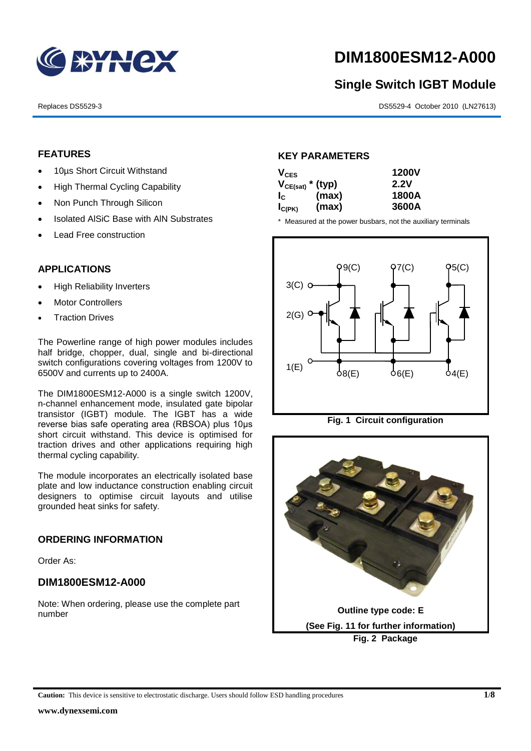

# **DIM1800ESM12-A000**

# **Single Switch IGBT Module**

Replaces DS5529-3 DS5529-4 October 2010 (LN27613)

## **FEATURES**

- 10µs Short Circuit Withstand
- High Thermal Cycling Capability
- Non Punch Through Silicon
- Isolated AISiC Base with AIN Substrates
- Lead Free construction

# **APPLICATIONS**

- High Reliability Inverters
- Motor Controllers
- Traction Drives

The Powerline range of high power modules includes half bridge, chopper, dual, single and bi-directional switch configurations covering voltages from 1200V to 6500V and currents up to 2400A.

The DIM1800ESM12-A000 is a single switch 1200V, n-channel enhancement mode, insulated gate bipolar transistor (IGBT) module. The IGBT has a wide reverse bias safe operating area (RBSOA) plus 10μs short circuit withstand. This device is optimised for traction drives and other applications requiring high thermal cycling capability.

The module incorporates an electrically isolated base plate and low inductance construction enabling circuit designers to optimise circuit layouts and utilise grounded heat sinks for safety.

### **ORDERING INFORMATION**

Order As:

### **DIM1800ESM12-A000**

Note: When ordering, please use the complete part number

### **KEY PARAMETERS**

| $V_{CES}$             |       | <b>1200V</b> |
|-----------------------|-------|--------------|
| $V_{CE(sat)}$ * (typ) |       | 2.2V         |
| $I_{\rm c}$           | (max) | 1800A        |
| $I_{C(PK)}$           | (max) | 3600A        |

\* Measured at the power busbars, not the auxiliary terminals





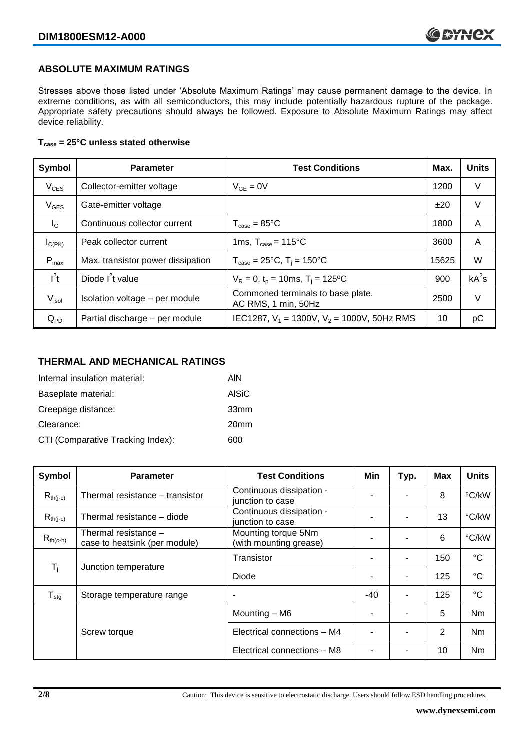## **ABSOLUTE MAXIMUM RATINGS**

Stresses above those listed under 'Absolute Maximum Ratings' may cause permanent damage to the device. In extreme conditions, as with all semiconductors, this may include potentially hazardous rupture of the package. Appropriate safety precautions should always be followed. Exposure to Absolute Maximum Ratings may affect device reliability.

#### **Tcase = 25°C unless stated otherwise**

| Symbol            | <b>Parameter</b>                  | <b>Test Conditions</b>                                   |       | <b>Units</b> |
|-------------------|-----------------------------------|----------------------------------------------------------|-------|--------------|
| $V_{CES}$         | Collector-emitter voltage         | $V_{GF} = 0V$                                            | 1200  | V            |
| $V_{GES}$         | Gate-emitter voltage              |                                                          | ±20   | V            |
| $I_{\rm C}$       | Continuous collector current      | $T_{\text{case}} = 85^{\circ}$ C                         | 1800  | A            |
| $I_{C(PK)}$       | Peak collector current            | 1ms, $T_{\text{case}} = 115^{\circ}$ C                   | 3600  | A            |
| $P_{max}$         | Max. transistor power dissipation | $T_{\text{case}} = 25^{\circ}C$ , $T_i = 150^{\circ}C$   | 15625 | W            |
| $I^2t$            | Diode $I^2t$ value                | $V_R = 0$ , $t_p = 10$ ms, $T_i = 125$ °C                | 900   | $kA^2s$      |
| V <sub>isol</sub> | Isolation voltage - per module    | Commoned terminals to base plate.<br>AC RMS, 1 min, 50Hz | 2500  | V            |
| $Q_{PD}$          | Partial discharge - per module    | IEC1287, $V_1$ = 1300V, $V_2$ = 1000V, 50Hz RMS          | 10    | рC           |

#### **THERMAL AND MECHANICAL RATINGS**

| Internal insulation material:     | AIN              |
|-----------------------------------|------------------|
| Baseplate material:               | <b>AISiC</b>     |
| Creepage distance:                | 33mm             |
| Clearance:                        | 20 <sub>mm</sub> |
| CTI (Comparative Tracking Index): | 600              |

| Symbol                     | <b>Parameter</b>                                      | <b>Test Conditions</b>                        | Min   | Typ.                     | Max | <b>Units</b>   |
|----------------------------|-------------------------------------------------------|-----------------------------------------------|-------|--------------------------|-----|----------------|
| $R_{th(j-c)}$              | Thermal resistance - transistor                       | Continuous dissipation -<br>junction to case  |       |                          | 8   | °C/kW          |
| $R_{th(j-c)}$              | Thermal resistance - diode                            | Continuous dissipation -<br>junction to case  | ٠     |                          | 13  | °C/kW          |
| $R_{th(c-h)}$              | Thermal resistance -<br>case to heatsink (per module) | Mounting torque 5Nm<br>(with mounting grease) | -     | ۰                        | 6   | °C/kW          |
| $T_i$                      | Junction temperature                                  | Transistor                                    |       | ۰                        | 150 | $^{\circ}C$    |
|                            |                                                       | Diode                                         |       |                          | 125 | $^{\circ}C$    |
| ${\mathsf T}_{\text{stg}}$ | Storage temperature range                             | $\overline{\phantom{a}}$                      | $-40$ | ٠                        | 125 | $^{\circ}C$    |
|                            |                                                       | Mounting - M6                                 |       | $\overline{\phantom{a}}$ | 5   | Nm             |
|                            | Screw torque                                          | Electrical connections - M4                   |       |                          | 2   | N <sub>m</sub> |
|                            |                                                       | Electrical connections - M8                   |       |                          | 10  | Nm             |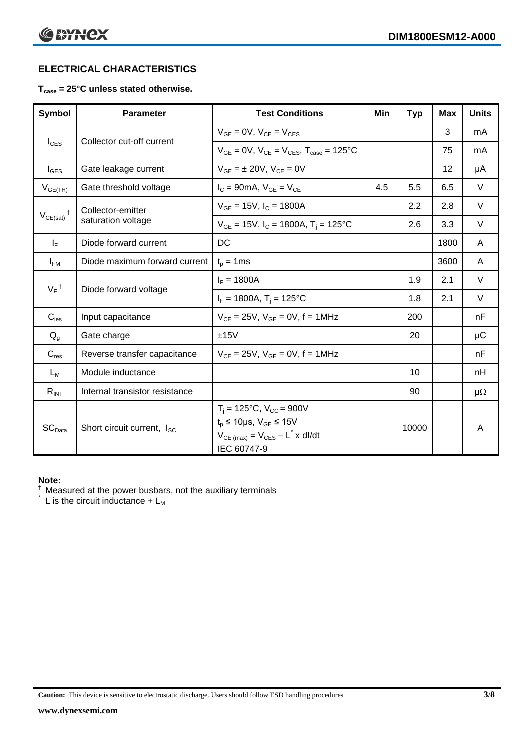# **ELECTRICAL CHARACTERISTICS**

#### **Tcase = 25°C unless stated otherwise.**

| <b>Symbol</b>                 | <b>Parameter</b>                       | <b>Test Conditions</b>                                                                                                                                            | Min | <b>Typ</b> | <b>Max</b> | <b>Units</b> |
|-------------------------------|----------------------------------------|-------------------------------------------------------------------------------------------------------------------------------------------------------------------|-----|------------|------------|--------------|
|                               | Collector cut-off current              | $V_{GE} = 0V$ , $V_{CE} = V_{CES}$                                                                                                                                |     |            | 3          | mA           |
| $I_{CES}$                     |                                        | $V_{CF} = 0V$ , $V_{CF} = V_{CES}$ , $T_{case} = 125^{\circ}C$                                                                                                    |     |            | 75         | mA           |
| $I_{\text{GES}}$              | Gate leakage current                   | $V_{GF} = \pm 20V$ , $V_{CF} = 0V$                                                                                                                                |     |            | 12         | μA           |
| $V_{GE(TH)}$                  | Gate threshold voltage                 | $I_C = 90mA$ , $V_{GE} = V_{CE}$                                                                                                                                  | 4.5 | 5.5        | 6.5        | V            |
|                               | Collector-emitter                      | $V_{GE}$ = 15V, $I_C$ = 1800A                                                                                                                                     |     | 2.2        | 2.8        | V            |
| $V_{CE(sat)}$                 | saturation voltage                     | $V_{GE}$ = 15V, $I_C$ = 1800A, T <sub>i</sub> = 125°C                                                                                                             |     | 2.6        | 3.3        | V            |
| $I_F$                         | Diode forward current                  | DC                                                                                                                                                                |     |            | 1800       | A            |
| $I_{FM}$                      | Diode maximum forward current          | $t_p = 1$ ms                                                                                                                                                      |     |            | 3600       | A            |
|                               |                                        | $I_F = 1800A$                                                                                                                                                     |     | 1.9        | 2.1        | V            |
| $V_F$ <sup>†</sup>            | Diode forward voltage                  | $I_F = 1800A$ , $T_i = 125^{\circ}C$                                                                                                                              |     | 1.8        | 2.1        | V            |
| $C_{\text{ies}}$              | Input capacitance                      | $V_{CF} = 25V$ , $V_{GF} = 0V$ , f = 1MHz                                                                                                                         |     | 200        |            | nF           |
| $Q_{q}$                       | Gate charge                            | ±15V                                                                                                                                                              |     | 20         |            | μC           |
| $C_{res}$                     | Reverse transfer capacitance           | $V_{CE} = 25V$ , $V_{GE} = 0V$ , f = 1MHz                                                                                                                         |     |            |            | nF           |
| $L_M$                         | Module inductance                      |                                                                                                                                                                   |     | 10         |            | nH           |
| $R_{INT}$                     | Internal transistor resistance         |                                                                                                                                                                   |     | 90         |            | $\mu\Omega$  |
| $\mathsf{SC}_{\mathsf{Data}}$ | Short circuit current, I <sub>SC</sub> | $T_i = 125$ °C, V <sub>CC</sub> = 900V<br>$t_p \le 10 \mu s$ , $V_{GE} \le 15 V$<br>$V_{CE \text{ (max)}} = V_{CES} - L^{\dagger} x \text{ dI/dt}$<br>IEC 60747-9 |     | 10000      |            | A            |

#### **Note:**

 $\dagger$  Measured at the power busbars, not the auxiliary terminals

 $\check{}$  L is the circuit inductance +  $L_M$ 

**Caution:** This device is sensitive to electrostatic discharge. Users should follow ESD handling procedures **3/8**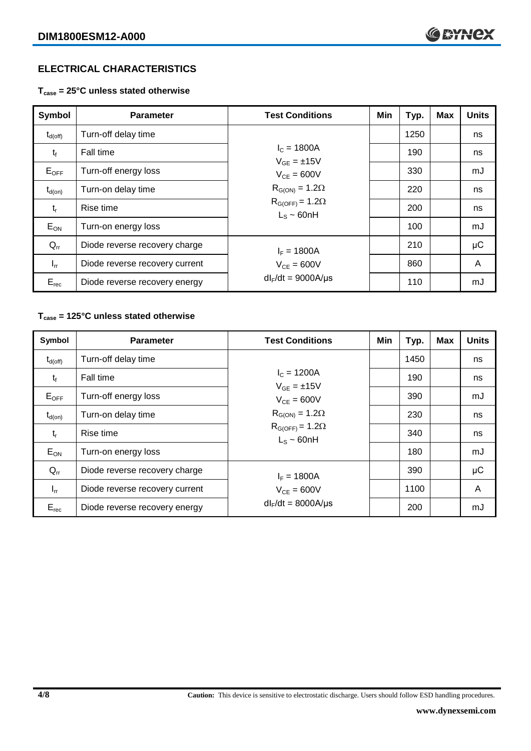## **ELECTRICAL CHARACTERISTICS**

**Tcase = 25°C unless stated otherwise**

| Symbol              | <b>Parameter</b>               | <b>Test Conditions</b>                       | Min | Typ. | <b>Max</b> | <b>Units</b> |
|---------------------|--------------------------------|----------------------------------------------|-----|------|------------|--------------|
| $t_{d(\text{off})}$ | Turn-off delay time            |                                              |     | 1250 |            | ns           |
| $t_{f}$             | Fall time                      | $I_c = 1800A$<br>$V_{GF} = \pm 15V$          |     | 190  |            | ns           |
| $E_{\mathsf{OFF}}$  | Turn-off energy loss           | $V_{CF} = 600V$                              |     | 330  |            | mJ           |
| $t_{d(on)}$         | Turn-on delay time             | $R_{G(ON)} = 1.2\Omega$                      |     | 220  |            | ns           |
| $t_{r}$             | Rise time                      | $R_{G(OFF)} = 1.2\Omega$<br>$L_s \sim 60$ nH |     | 200  |            | ns           |
| $E_{ON}$            | Turn-on energy loss            |                                              |     | 100  |            | mJ           |
| $Q_{rr}$            | Diode reverse recovery charge  | $I_F = 1800A$                                |     | 210  |            | μC           |
| $I_{rr}$            | Diode reverse recovery current | $V_{CE} = 600V$                              |     | 860  |            | A            |
| $E_{rec}$           | Diode reverse recovery energy  | $dl_F/dt = 9000A/\mu s$                      |     | 110  |            | mJ           |

#### **Tcase = 125°C unless stated otherwise**

| Symbol              | <b>Parameter</b>               | <b>Test Conditions</b>                       | Min | Typ. | <b>Max</b> | <b>Units</b> |
|---------------------|--------------------------------|----------------------------------------------|-----|------|------------|--------------|
| $t_{d(\text{off})}$ | Turn-off delay time            |                                              |     | 1450 |            | ns           |
| $t_{f}$             | Fall time                      | $I_c = 1200A$<br>$V_{GF} = \pm 15V$          |     | 190  |            | ns           |
| $E_{OFF}$           | Turn-off energy loss           | $V_{CF} = 600V$                              |     | 390  |            | mJ           |
| $t_{d(on)}$         | Turn-on delay time             | $R_{G(ON)} = 1.2\Omega$                      |     | 230  |            | ns           |
| $t_{r}$             | Rise time                      | $R_{G(OFF)} = 1.2\Omega$<br>$L_s \sim 60$ nH |     | 340  |            | ns           |
| $E_{ON}$            | Turn-on energy loss            |                                              |     | 180  |            | mJ           |
| $Q_{rr}$            | Diode reverse recovery charge  | $I_F = 1800A$                                |     | 390  |            | μC           |
| $I_{rr}$            | Diode reverse recovery current | $V_{CF} = 600V$                              |     | 1100 |            | A            |
| $E_{rec}$           | Diode reverse recovery energy  | $dl_F/dt = 8000A/\mu s$                      |     | 200  |            | mJ           |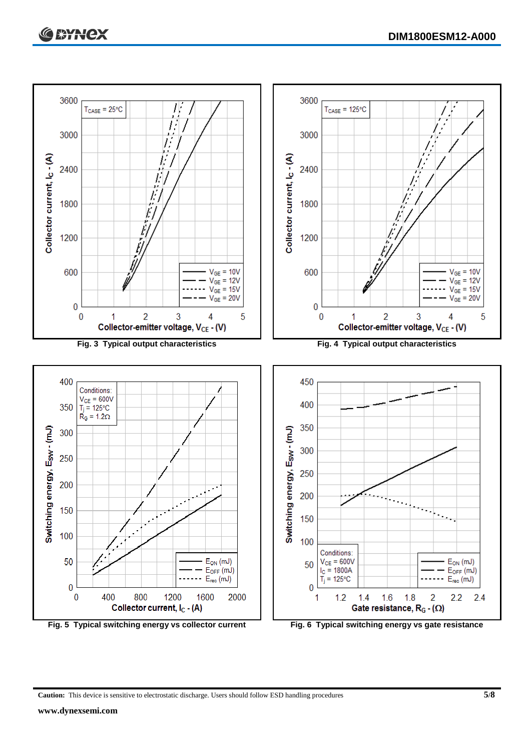

**Caution:** This device is sensitive to electrostatic discharge. Users should follow ESD handling procedures **5/8**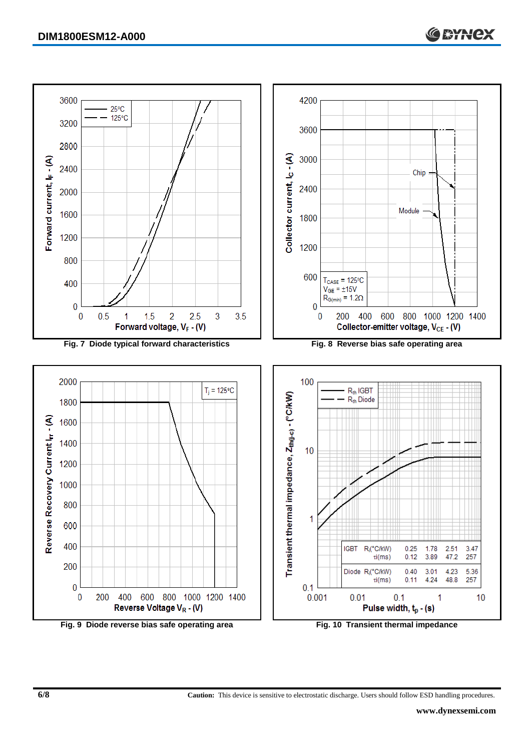

**6/8 Caution:** This device is sensitive to electrostatic discharge. Users should follow ESD handling procedures.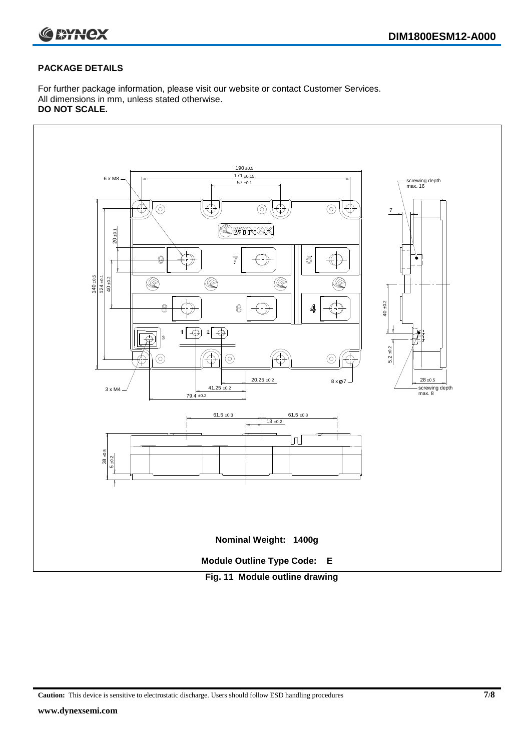

#### **PACKAGE DETAILS**

For further package information, please visit our website or contact Customer Services. All dimensions in mm, unless stated otherwise. **DO NOT SCALE.**



**Caution:** This device is sensitive to electrostatic discharge. Users should follow ESD handling procedures **7/8**